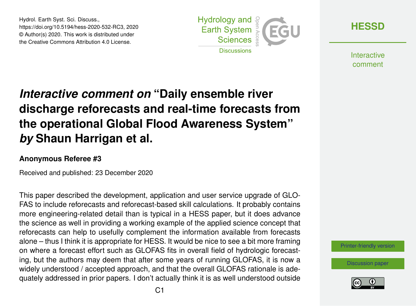Hydrol. Earth Syst. Sci. Discuss., https://doi.org/10.5194/hess-2020-532-RC3, 2020 © Author(s) 2020. This work is distributed under the Creative Commons Attribution 4.0 License.



**[HESSD](https://hess.copernicus.org/preprints/)**

**Interactive** comment

## *Interactive comment on* **"Daily ensemble river discharge reforecasts and real-time forecasts from the operational Global Flood Awareness System"** *by* **Shaun Harrigan et al.**

## **Anonymous Referee #3**

Received and published: 23 December 2020

This paper described the development, application and user service upgrade of GLO-FAS to include reforecasts and reforecast-based skill calculations. It probably contains more engineering-related detail than is typical in a HESS paper, but it does advance the science as well in providing a working example of the applied science concept that reforecasts can help to usefully complement the information available from forecasts alone – thus I think it is appropriate for HESS. It would be nice to see a bit more framing on where a forecast effort such as GLOFAS fits in overall field of hydrologic forecasting, but the authors may deem that after some years of running GLOFAS, it is now a widely understood / accepted approach, and that the overall GLOFAS rationale is adequately addressed in prior papers. I don't actually think it is as well understood outside

[Printer-friendly version](https://hess.copernicus.org/preprints/hess-2020-532/hess-2020-532-RC3-print.pdf)

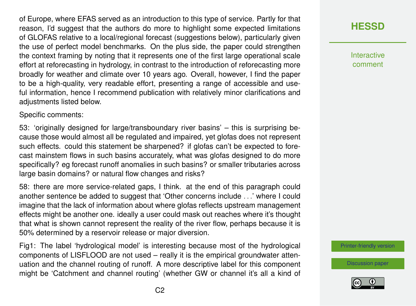of Europe, where EFAS served as an introduction to this type of service. Partly for that reason, I'd suggest that the authors do more to highlight some expected limitations of GLOFAS relative to a local/regional forecast (suggestions below), particularly given the use of perfect model benchmarks. On the plus side, the paper could strengthen the context framing by noting that it represents one of the first large operational scale effort at reforecasting in hydrology, in contrast to the introduction of reforecasting more broadly for weather and climate over 10 years ago. Overall, however, I find the paper to be a high-quality, very readable effort, presenting a range of accessible and useful information, hence I recommend publication with relatively minor clarifications and adjustments listed below.

Specific comments:

53: 'originally designed for large/transboundary river basins' – this is surprising because those would almost all be regulated and impaired, yet glofas does not represent such effects. could this statement be sharpened? if glofas can't be expected to forecast mainstem flows in such basins accurately, what was glofas designed to do more specifically? eg forecast runoff anomalies in such basins? or smaller tributaries across large basin domains? or natural flow changes and risks?

58: there are more service-related gaps, I think. at the end of this paragraph could another sentence be added to suggest that 'Other concerns include ...' where I could imagine that the lack of information about where glofas reflects upstream management effects might be another one. ideally a user could mask out reaches where it's thought that what is shown cannot represent the reality of the river flow, perhaps because it is 50% determined by a reservoir release or major diversion.

Fig1: The label 'hydrological model' is interesting because most of the hydrological components of LISFLOOD are not used – really it is the empirical groundwater attenuation and the channel routing of runoff. A more descriptive label for this component might be 'Catchment and channel routing' (whether GW or channel it's all a kind of



**Interactive** comment

[Printer-friendly version](https://hess.copernicus.org/preprints/hess-2020-532/hess-2020-532-RC3-print.pdf)

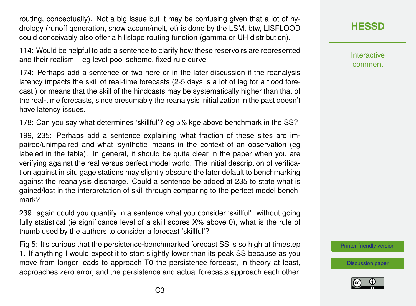routing, conceptually). Not a big issue but it may be confusing given that a lot of hydrology (runoff generation, snow accum/melt, et) is done by the LSM. btw, LISFLOOD could conceivably also offer a hillslope routing function (gamma or UH distribution).

114: Would be helpful to add a sentence to clarify how these reservoirs are represented and their realism – eg level-pool scheme, fixed rule curve

174: Perhaps add a sentence or two here or in the later discussion if the reanalysis latency impacts the skill of real-time forecasts (2-5 days is a lot of lag for a flood forecast!) or means that the skill of the hindcasts may be systematically higher than that of the real-time forecasts, since presumably the reanalysis initialization in the past doesn't have latency issues.

178: Can you say what determines 'skillful'? eg 5% kge above benchmark in the SS?

199, 235: Perhaps add a sentence explaining what fraction of these sites are impaired/unimpaired and what 'synthetic' means in the context of an observation (eg labeled in the table). In general, it should be quite clear in the paper when you are verifying against the real versus perfect model world. The initial description of verification against in situ gage stations may slightly obscure the later default to benchmarking against the reanalysis discharge. Could a sentence be added at 235 to state what is gained/lost in the interpretation of skill through comparing to the perfect model benchmark?

239: again could you quantify in a sentence what you consider 'skillful'. without going fully statistical (ie significance level of a skill scores X% above 0), what is the rule of thumb used by the authors to consider a forecast 'skillful'?

Fig 5: It's curious that the persistence-benchmarked forecast SS is so high at timestep 1. If anything I would expect it to start slightly lower than its peak SS because as you move from longer leads to approach T0 the persistence forecast, in theory at least, approaches zero error, and the persistence and actual forecasts approach each other. **[HESSD](https://hess.copernicus.org/preprints/)**

Interactive comment

[Printer-friendly version](https://hess.copernicus.org/preprints/hess-2020-532/hess-2020-532-RC3-print.pdf)

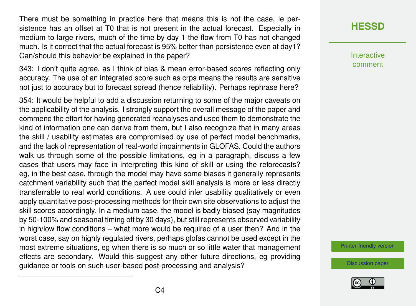There must be something in practice here that means this is not the case, ie persistence has an offset at T0 that is not present in the actual forecast. Especially in medium to large rivers, much of the time by day 1 the flow from T0 has not changed much. Is it correct that the actual forecast is 95% better than persistence even at day1? Can/should this behavior be explained in the paper?

343: I don't quite agree, as I think of bias & mean error-based scores reflecting only accuracy. The use of an integrated score such as crps means the results are sensitive not just to accuracy but to forecast spread (hence reliability). Perhaps rephrase here?

354: It would be helpful to add a discussion returning to some of the major caveats on the applicability of the analysis. I strongly support the overall message of the paper and commend the effort for having generated reanalyses and used them to demonstrate the kind of information one can derive from them, but I also recognize that in many areas the skill / usability estimates are compromised by use of perfect model benchmarks, and the lack of representation of real-world impairments in GLOFAS. Could the authors walk us through some of the possible limitations, eg in a paragraph, discuss a few cases that users may face in interpreting this kind of skill or using the reforecasts? eg, in the best case, through the model may have some biases it generally represents catchment variability such that the perfect model skill analysis is more or less directly transferrable to real world conditions. A use could infer usability qualitatively or even apply quantitative post-processing methods for their own site observations to adjust the skill scores accordingly. In a medium case, the model is badly biased (say magnitudes by 50-100% and seasonal timing off by 30 days), but still represents observed variability in high/low flow conditions – what more would be required of a user then? And in the worst case, say on highly regulated rivers, perhaps glofas cannot be used except in the most extreme situations, eg when there is so much or so little water that management effects are secondary. Would this suggest any other future directions, eg providing guidance or tools on such user-based post-processing and analysis?

## **[HESSD](https://hess.copernicus.org/preprints/)**

Interactive comment

[Printer-friendly version](https://hess.copernicus.org/preprints/hess-2020-532/hess-2020-532-RC3-print.pdf)